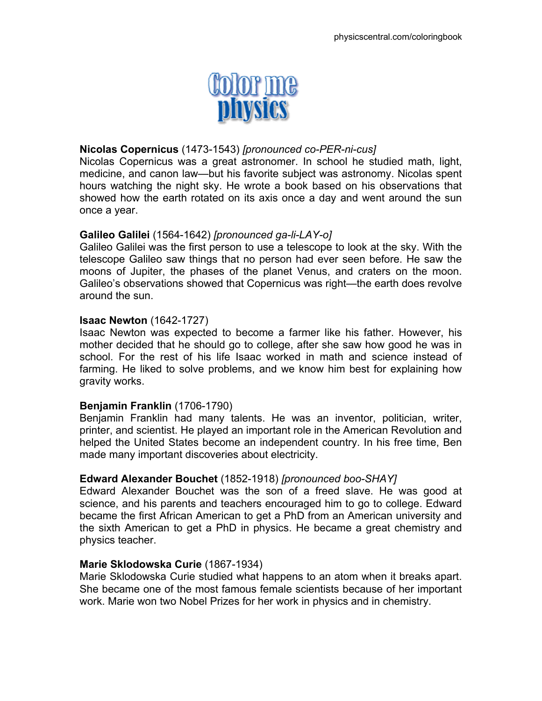

# **Nicolas Copernicus** (1473-1543) *[pronounced co-PER-ni-cus]*

Nicolas Copernicus was a great astronomer. In school he studied math, light, medicine, and canon law—but his favorite subject was astronomy. Nicolas spent hours watching the night sky. He wrote a book based on his observations that showed how the earth rotated on its axis once a day and went around the sun once a year.

# **Galileo Galilei** (1564-1642) *[pronounced ga-li-LAY-o]*

Galileo Galilei was the first person to use a telescope to look at the sky. With the telescope Galileo saw things that no person had ever seen before. He saw the moons of Jupiter, the phases of the planet Venus, and craters on the moon. Galileo's observations showed that Copernicus was right—the earth does revolve around the sun.

### **Isaac Newton** (1642-1727)

Isaac Newton was expected to become a farmer like his father. However, his mother decided that he should go to college, after she saw how good he was in school. For the rest of his life Isaac worked in math and science instead of farming. He liked to solve problems, and we know him best for explaining how gravity works.

### **Benjamin Franklin** (1706-1790)

Benjamin Franklin had many talents. He was an inventor, politician, writer, printer, and scientist. He played an important role in the American Revolution and helped the United States become an independent country. In his free time, Ben made many important discoveries about electricity.

### **Edward Alexander Bouchet** (1852-1918) *[pronounced boo-SHAY]*

Edward Alexander Bouchet was the son of a freed slave. He was good at science, and his parents and teachers encouraged him to go to college. Edward became the first African American to get a PhD from an American university and the sixth American to get a PhD in physics. He became a great chemistry and physics teacher.

### **Marie Sklodowska Curie** (1867-1934)

Marie Sklodowska Curie studied what happens to an atom when it breaks apart. She became one of the most famous female scientists because of her important work. Marie won two Nobel Prizes for her work in physics and in chemistry.